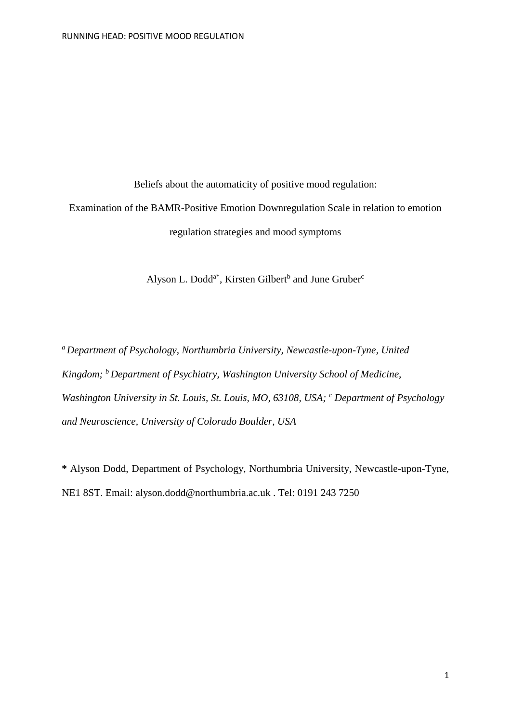Beliefs about the automaticity of positive mood regulation: Examination of the BAMR-Positive Emotion Downregulation Scale in relation to emotion regulation strategies and mood symptoms

Alyson L. Dodd<sup>a\*</sup>, Kirsten Gilbert<sup>b</sup> and June Gruber<sup>c</sup>

*a Department of Psychology, Northumbria University, Newcastle-upon-Tyne, United Kingdom; b Department of Psychiatry, Washington University School of Medicine, Washington University in St. Louis, St. Louis, MO, 63108, USA; <sup>c</sup> Department of Psychology and Neuroscience, University of Colorado Boulder, USA*

**\*** Alyson Dodd, Department of Psychology, Northumbria University, Newcastle-upon-Tyne, NE1 8ST. Email: alyson.dodd@northumbria.ac.uk . Tel: 0191 243 7250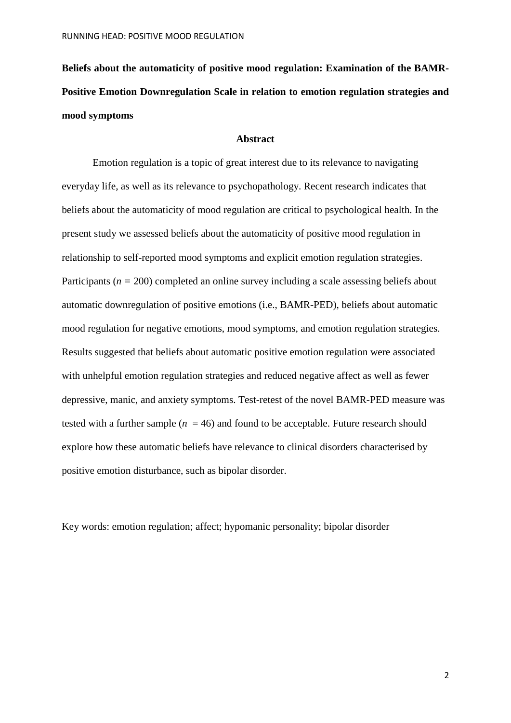**Beliefs about the automaticity of positive mood regulation: Examination of the BAMR-Positive Emotion Downregulation Scale in relation to emotion regulation strategies and mood symptoms**

## **Abstract**

Emotion regulation is a topic of great interest due to its relevance to navigating everyday life, as well as its relevance to psychopathology. Recent research indicates that beliefs about the automaticity of mood regulation are critical to psychological health. In the present study we assessed beliefs about the automaticity of positive mood regulation in relationship to self-reported mood symptoms and explicit emotion regulation strategies. Participants (*n =* 200) completed an online survey including a scale assessing beliefs about automatic downregulation of positive emotions (i.e., BAMR-PED), beliefs about automatic mood regulation for negative emotions, mood symptoms, and emotion regulation strategies. Results suggested that beliefs about automatic positive emotion regulation were associated with unhelpful emotion regulation strategies and reduced negative affect as well as fewer depressive, manic, and anxiety symptoms. Test-retest of the novel BAMR-PED measure was tested with a further sample  $(n = 46)$  and found to be acceptable. Future research should explore how these automatic beliefs have relevance to clinical disorders characterised by positive emotion disturbance, such as bipolar disorder.

Key words: emotion regulation; affect; hypomanic personality; bipolar disorder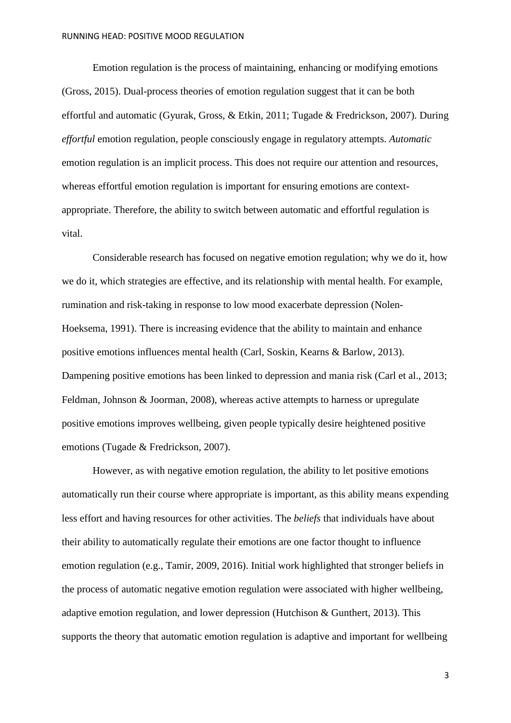Emotion regulation is the process of maintaining, enhancing or modifying emotions (Gross, 2015). Dual-process theories of emotion regulation suggest that it can be both effortful and automatic (Gyurak, Gross, & Etkin, 2011; Tugade & Fredrickson, 2007). During *effortful* emotion regulation, people consciously engage in regulatory attempts. *Automatic* emotion regulation is an implicit process. This does not require our attention and resources, whereas effortful emotion regulation is important for ensuring emotions are contextappropriate. Therefore, the ability to switch between automatic and effortful regulation is vital.

Considerable research has focused on negative emotion regulation; why we do it, how we do it, which strategies are effective, and its relationship with mental health. For example, rumination and risk-taking in response to low mood exacerbate depression (Nolen-Hoeksema, 1991). There is increasing evidence that the ability to maintain and enhance positive emotions influences mental health (Carl, Soskin, Kearns & Barlow, 2013). Dampening positive emotions has been linked to depression and mania risk (Carl et al., 2013; Feldman, Johnson & Joorman, 2008), whereas active attempts to harness or upregulate positive emotions improves wellbeing, given people typically desire heightened positive emotions (Tugade & Fredrickson, 2007).

However, as with negative emotion regulation, the ability to let positive emotions automatically run their course where appropriate is important, as this ability means expending less effort and having resources for other activities. The *beliefs* that individuals have about their ability to automatically regulate their emotions are one factor thought to influence emotion regulation (e.g., Tamir, 2009, 2016). Initial work highlighted that stronger beliefs in the process of automatic negative emotion regulation were associated with higher wellbeing, adaptive emotion regulation, and lower depression (Hutchison & Gunthert, 2013). This supports the theory that automatic emotion regulation is adaptive and important for wellbeing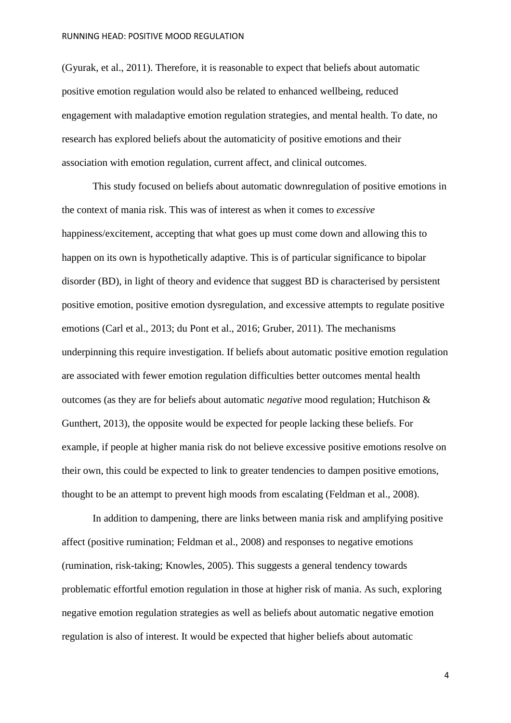(Gyurak, et al., 2011). Therefore, it is reasonable to expect that beliefs about automatic positive emotion regulation would also be related to enhanced wellbeing, reduced engagement with maladaptive emotion regulation strategies, and mental health. To date, no research has explored beliefs about the automaticity of positive emotions and their association with emotion regulation, current affect, and clinical outcomes.

This study focused on beliefs about automatic downregulation of positive emotions in the context of mania risk. This was of interest as when it comes to *excessive* happiness/excitement, accepting that what goes up must come down and allowing this to happen on its own is hypothetically adaptive. This is of particular significance to bipolar disorder (BD), in light of theory and evidence that suggest BD is characterised by persistent positive emotion, positive emotion dysregulation, and excessive attempts to regulate positive emotions (Carl et al., 2013; du Pont et al., 2016; Gruber, 2011). The mechanisms underpinning this require investigation. If beliefs about automatic positive emotion regulation are associated with fewer emotion regulation difficulties better outcomes mental health outcomes (as they are for beliefs about automatic *negative* mood regulation; Hutchison & Gunthert, 2013), the opposite would be expected for people lacking these beliefs. For example, if people at higher mania risk do not believe excessive positive emotions resolve on their own, this could be expected to link to greater tendencies to dampen positive emotions, thought to be an attempt to prevent high moods from escalating (Feldman et al., 2008).

In addition to dampening, there are links between mania risk and amplifying positive affect (positive rumination; Feldman et al., 2008) and responses to negative emotions (rumination, risk-taking; Knowles, 2005). This suggests a general tendency towards problematic effortful emotion regulation in those at higher risk of mania. As such, exploring negative emotion regulation strategies as well as beliefs about automatic negative emotion regulation is also of interest. It would be expected that higher beliefs about automatic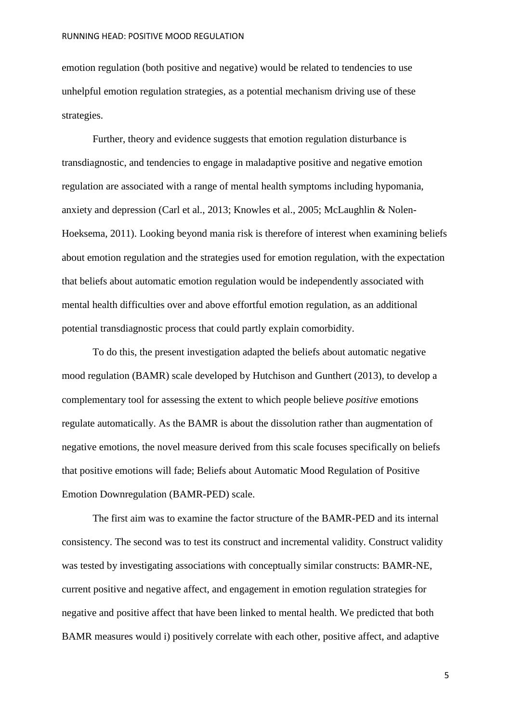emotion regulation (both positive and negative) would be related to tendencies to use unhelpful emotion regulation strategies, as a potential mechanism driving use of these strategies.

Further, theory and evidence suggests that emotion regulation disturbance is transdiagnostic, and tendencies to engage in maladaptive positive and negative emotion regulation are associated with a range of mental health symptoms including hypomania, anxiety and depression (Carl et al., 2013; Knowles et al., 2005; McLaughlin & Nolen-Hoeksema, 2011). Looking beyond mania risk is therefore of interest when examining beliefs about emotion regulation and the strategies used for emotion regulation, with the expectation that beliefs about automatic emotion regulation would be independently associated with mental health difficulties over and above effortful emotion regulation, as an additional potential transdiagnostic process that could partly explain comorbidity.

To do this, the present investigation adapted the beliefs about automatic negative mood regulation (BAMR) scale developed by Hutchison and Gunthert (2013), to develop a complementary tool for assessing the extent to which people believe *positive* emotions regulate automatically. As the BAMR is about the dissolution rather than augmentation of negative emotions, the novel measure derived from this scale focuses specifically on beliefs that positive emotions will fade; Beliefs about Automatic Mood Regulation of Positive Emotion Downregulation (BAMR-PED) scale.

The first aim was to examine the factor structure of the BAMR-PED and its internal consistency. The second was to test its construct and incremental validity. Construct validity was tested by investigating associations with conceptually similar constructs: BAMR-NE, current positive and negative affect, and engagement in emotion regulation strategies for negative and positive affect that have been linked to mental health. We predicted that both BAMR measures would i) positively correlate with each other, positive affect, and adaptive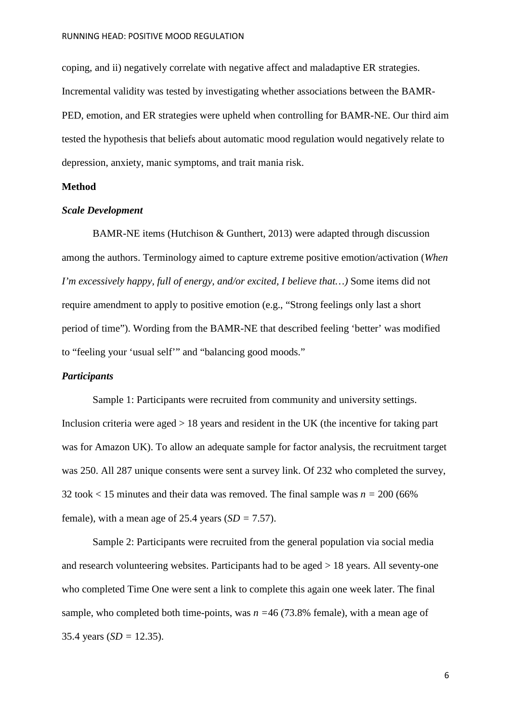coping, and ii) negatively correlate with negative affect and maladaptive ER strategies. Incremental validity was tested by investigating whether associations between the BAMR-PED, emotion, and ER strategies were upheld when controlling for BAMR-NE. Our third aim tested the hypothesis that beliefs about automatic mood regulation would negatively relate to depression, anxiety, manic symptoms, and trait mania risk.

## **Method**

#### *Scale Development*

BAMR-NE items (Hutchison & Gunthert, 2013) were adapted through discussion among the authors. Terminology aimed to capture extreme positive emotion/activation (*When I'm excessively happy, full of energy, and/or excited, I believe that…)* Some items did not require amendment to apply to positive emotion (e.g., "Strong feelings only last a short period of time"). Wording from the BAMR-NE that described feeling 'better' was modified to "feeling your 'usual self'" and "balancing good moods."

## *Participants*

Sample 1: Participants were recruited from community and university settings. Inclusion criteria were aged  $> 18$  years and resident in the UK (the incentive for taking part was for Amazon UK). To allow an adequate sample for factor analysis, the recruitment target was 250. All 287 unique consents were sent a survey link. Of 232 who completed the survey, 32 took < 15 minutes and their data was removed. The final sample was *n =* 200 (66% female), with a mean age of 25.4 years  $(SD = 7.57)$ .

Sample 2: Participants were recruited from the general population via social media and research volunteering websites. Participants had to be aged > 18 years. All seventy-one who completed Time One were sent a link to complete this again one week later. The final sample, who completed both time-points, was *n =*46 (73.8% female), with a mean age of 35.4 years  $(SD = 12.35)$ .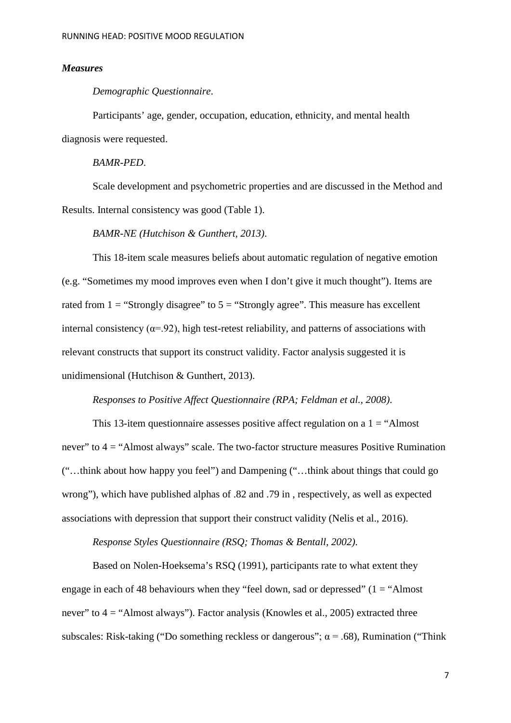#### *Measures*

#### *Demographic Questionnaire*.

Participants' age, gender, occupation, education, ethnicity, and mental health diagnosis were requested.

*BAMR-PED*.

Scale development and psychometric properties and are discussed in the Method and Results. Internal consistency was good (Table 1).

*BAMR-NE (Hutchison & Gunthert, 2013)*.

This 18-item scale measures beliefs about automatic regulation of negative emotion (e.g. "Sometimes my mood improves even when I don't give it much thought"). Items are rated from  $1 =$  "Strongly disagree" to  $5 =$  "Strongly agree". This measure has excellent internal consistency ( $\alpha$ =.92), high test-retest reliability, and patterns of associations with relevant constructs that support its construct validity. Factor analysis suggested it is unidimensional (Hutchison & Gunthert, 2013).

*Responses to Positive Affect Questionnaire (RPA; Feldman et al., 2008)*.

This 13-item questionnaire assesses positive affect regulation on a  $1 = "Almost$ never" to  $4 =$  "Almost always" scale. The two-factor structure measures Positive Rumination ("…think about how happy you feel") and Dampening ("…think about things that could go wrong"), which have published alphas of .82 and .79 in , respectively, as well as expected associations with depression that support their construct validity (Nelis et al., 2016).

*Response Styles Questionnaire (RSQ; Thomas & Bentall, 2002)*.

Based on Nolen-Hoeksema's RSQ (1991), participants rate to what extent they engage in each of 48 behaviours when they "feel down, sad or depressed"  $(1 = "Almost$ never" to  $4 =$  "Almost always"). Factor analysis (Knowles et al., 2005) extracted three subscales: Risk-taking ("Do something reckless or dangerous";  $\alpha$  = .68), Rumination ("Think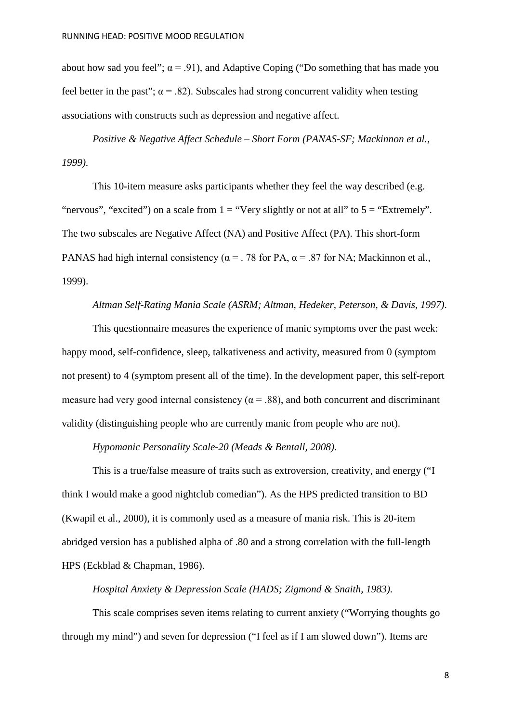about how sad you feel";  $\alpha = .91$ ), and Adaptive Coping ("Do something that has made you feel better in the past";  $\alpha = .82$ ). Subscales had strong concurrent validity when testing associations with constructs such as depression and negative affect.

*Positive & Negative Affect Schedule – Short Form (PANAS-SF; Mackinnon et al., 1999)*.

This 10-item measure asks participants whether they feel the way described (e.g. "nervous", "excited") on a scale from  $1 =$  "Very slightly or not at all" to  $5 =$  "Extremely". The two subscales are Negative Affect (NA) and Positive Affect (PA). This short-form PANAS had high internal consistency ( $\alpha$  = .78 for PA,  $\alpha$  = .87 for NA; Mackinnon et al., 1999).

## *Altman Self-Rating Mania Scale (ASRM; Altman, Hedeker, Peterson, & Davis, 1997)*.

This questionnaire measures the experience of manic symptoms over the past week: happy mood, self-confidence, sleep, talkativeness and activity, measured from 0 (symptom not present) to 4 (symptom present all of the time). In the development paper, this self-report measure had very good internal consistency ( $\alpha$  = .88), and both concurrent and discriminant validity (distinguishing people who are currently manic from people who are not).

# *Hypomanic Personality Scale-20 (Meads & Bentall, 2008)*.

This is a true/false measure of traits such as extroversion, creativity, and energy ("I think I would make a good nightclub comedian"). As the HPS predicted transition to BD (Kwapil et al., 2000), it is commonly used as a measure of mania risk. This is 20-item abridged version has a published alpha of .80 and a strong correlation with the full-length HPS (Eckblad & Chapman, 1986).

# *Hospital Anxiety & Depression Scale (HADS; Zigmond & Snaith, 1983)*.

This scale comprises seven items relating to current anxiety ("Worrying thoughts go through my mind") and seven for depression ("I feel as if I am slowed down"). Items are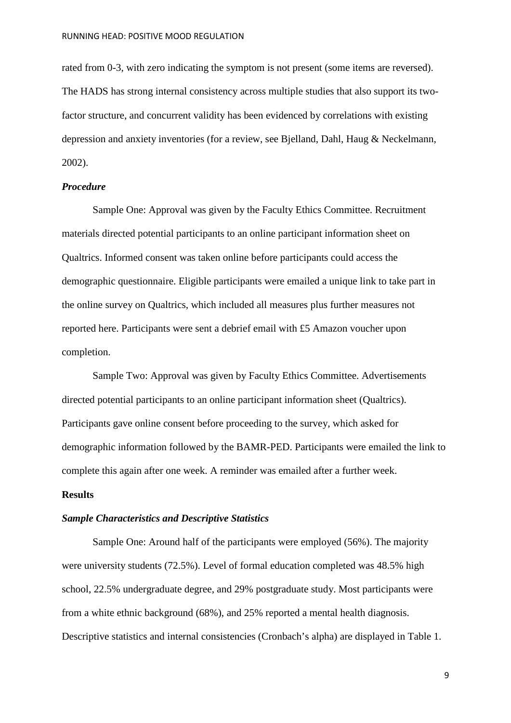rated from 0-3, with zero indicating the symptom is not present (some items are reversed). The HADS has strong internal consistency across multiple studies that also support its twofactor structure, and concurrent validity has been evidenced by correlations with existing depression and anxiety inventories (for a review, see Bjelland, Dahl, Haug & Neckelmann, 2002).

## *Procedure*

Sample One: Approval was given by the Faculty Ethics Committee. Recruitment materials directed potential participants to an online participant information sheet on Qualtrics. Informed consent was taken online before participants could access the demographic questionnaire. Eligible participants were emailed a unique link to take part in the online survey on Qualtrics, which included all measures plus further measures not reported here. Participants were sent a debrief email with £5 Amazon voucher upon completion.

Sample Two: Approval was given by Faculty Ethics Committee. Advertisements directed potential participants to an online participant information sheet (Qualtrics). Participants gave online consent before proceeding to the survey, which asked for demographic information followed by the BAMR-PED. Participants were emailed the link to complete this again after one week. A reminder was emailed after a further week.

## **Results**

#### *Sample Characteristics and Descriptive Statistics*

Sample One: Around half of the participants were employed (56%). The majority were university students (72.5%). Level of formal education completed was 48.5% high school, 22.5% undergraduate degree, and 29% postgraduate study. Most participants were from a white ethnic background (68%), and 25% reported a mental health diagnosis. Descriptive statistics and internal consistencies (Cronbach's alpha) are displayed in Table 1.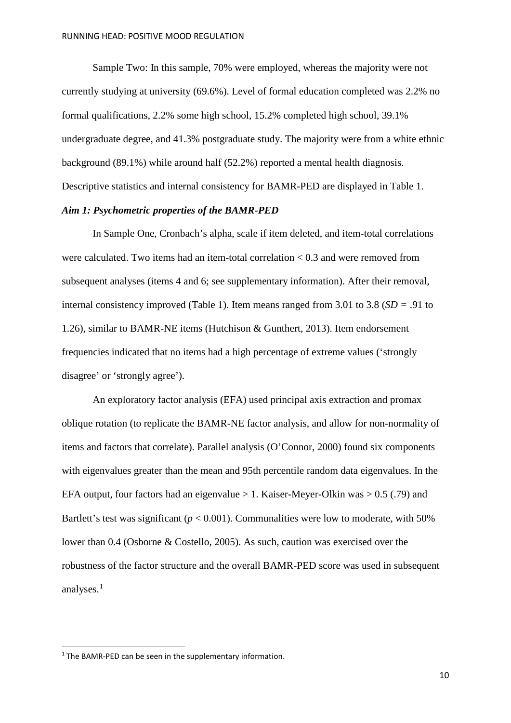Sample Two: In this sample, 70% were employed, whereas the majority were not currently studying at university (69.6%). Level of formal education completed was 2.2% no formal qualifications, 2.2% some high school, 15.2% completed high school, 39.1% undergraduate degree, and 41.3% postgraduate study. The majority were from a white ethnic background (89.1%) while around half (52.2%) reported a mental health diagnosis. Descriptive statistics and internal consistency for BAMR-PED are displayed in Table 1.

### *Aim 1: Psychometric properties of the BAMR-PED*

In Sample One, Cronbach's alpha, scale if item deleted, and item-total correlations were calculated. Two items had an item-total correlation < 0.3 and were removed from subsequent analyses (items 4 and 6; see supplementary information). After their removal, internal consistency improved (Table 1). Item means ranged from 3.01 to 3.8 (*SD =* .91 to 1.26), similar to BAMR-NE items (Hutchison & Gunthert, 2013). Item endorsement frequencies indicated that no items had a high percentage of extreme values ('strongly disagree' or 'strongly agree').

An exploratory factor analysis (EFA) used principal axis extraction and promax oblique rotation (to replicate the BAMR-NE factor analysis, and allow for non-normality of items and factors that correlate). Parallel analysis (O'Connor, 2000) found six components with eigenvalues greater than the mean and 95th percentile random data eigenvalues. In the EFA output, four factors had an eigenvalue  $> 1$ . Kaiser-Meyer-Olkin was  $> 0.5$  (.79) and Bartlett's test was significant ( $p < 0.001$ ). Communalities were low to moderate, with 50% lower than 0.4 (Osborne & Costello, 2005). As such, caution was exercised over the robustness of the factor structure and the overall BAMR-PED score was used in subsequent analyses.[1](#page-9-0)

<span id="page-9-0"></span><sup>&</sup>lt;sup>1</sup> The BAMR-PED can be seen in the supplementary information.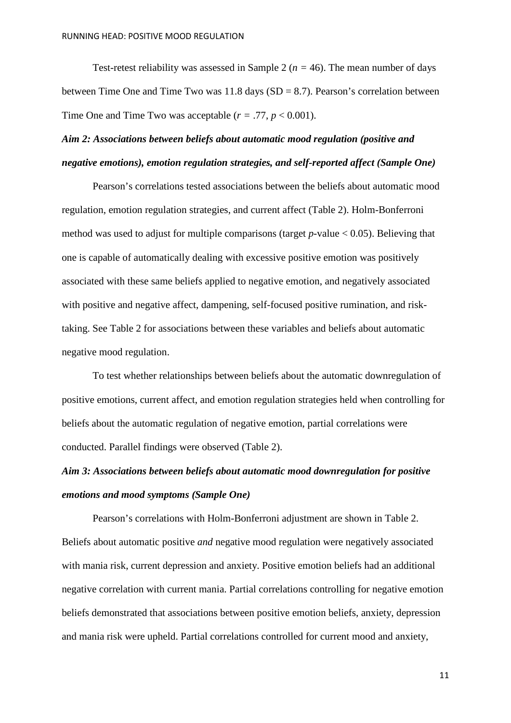Test-retest reliability was assessed in Sample 2 (*n =* 46). The mean number of days between Time One and Time Two was  $11.8$  days (SD = 8.7). Pearson's correlation between Time One and Time Two was acceptable  $(r = .77, p < 0.001)$ .

# *Aim 2: Associations between beliefs about automatic mood regulation (positive and negative emotions), emotion regulation strategies, and self-reported affect (Sample One)*

Pearson's correlations tested associations between the beliefs about automatic mood regulation, emotion regulation strategies, and current affect (Table 2). Holm-Bonferroni method was used to adjust for multiple comparisons (target  $p$ -value  $< 0.05$ ). Believing that one is capable of automatically dealing with excessive positive emotion was positively associated with these same beliefs applied to negative emotion, and negatively associated with positive and negative affect, dampening, self-focused positive rumination, and risktaking. See Table 2 for associations between these variables and beliefs about automatic negative mood regulation.

To test whether relationships between beliefs about the automatic downregulation of positive emotions, current affect, and emotion regulation strategies held when controlling for beliefs about the automatic regulation of negative emotion, partial correlations were conducted. Parallel findings were observed (Table 2).

# *Aim 3: Associations between beliefs about automatic mood downregulation for positive emotions and mood symptoms (Sample One)*

Pearson's correlations with Holm-Bonferroni adjustment are shown in Table 2. Beliefs about automatic positive *and* negative mood regulation were negatively associated with mania risk, current depression and anxiety. Positive emotion beliefs had an additional negative correlation with current mania. Partial correlations controlling for negative emotion beliefs demonstrated that associations between positive emotion beliefs, anxiety, depression and mania risk were upheld. Partial correlations controlled for current mood and anxiety,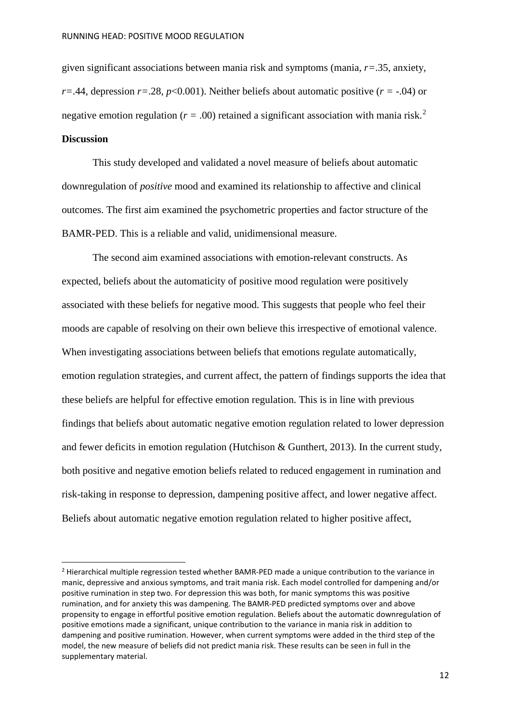given significant associations between mania risk and symptoms (mania, *r=*.35, anxiety, *r=*.44, depression *r=*.28, *p*<0.001). Neither beliefs about automatic positive (*r =* -.04) or negative emotion regulation ( $r = .00$ ) retained a significant association with mania risk.<sup>[2](#page-11-0)</sup> **Discussion**

This study developed and validated a novel measure of beliefs about automatic downregulation of *positive* mood and examined its relationship to affective and clinical outcomes. The first aim examined the psychometric properties and factor structure of the BAMR-PED. This is a reliable and valid, unidimensional measure.

The second aim examined associations with emotion-relevant constructs. As expected, beliefs about the automaticity of positive mood regulation were positively associated with these beliefs for negative mood. This suggests that people who feel their moods are capable of resolving on their own believe this irrespective of emotional valence. When investigating associations between beliefs that emotions regulate automatically, emotion regulation strategies, and current affect, the pattern of findings supports the idea that these beliefs are helpful for effective emotion regulation. This is in line with previous findings that beliefs about automatic negative emotion regulation related to lower depression and fewer deficits in emotion regulation (Hutchison & Gunthert, 2013). In the current study, both positive and negative emotion beliefs related to reduced engagement in rumination and risk-taking in response to depression, dampening positive affect, and lower negative affect. Beliefs about automatic negative emotion regulation related to higher positive affect,

<span id="page-11-0"></span> <sup>2</sup> Hierarchical multiple regression tested whether BAMR-PED made a unique contribution to the variance in manic, depressive and anxious symptoms, and trait mania risk. Each model controlled for dampening and/or positive rumination in step two. For depression this was both, for manic symptoms this was positive rumination, and for anxiety this was dampening. The BAMR-PED predicted symptoms over and above propensity to engage in effortful positive emotion regulation. Beliefs about the automatic downregulation of positive emotions made a significant, unique contribution to the variance in mania risk in addition to dampening and positive rumination. However, when current symptoms were added in the third step of the model, the new measure of beliefs did not predict mania risk. These results can be seen in full in the supplementary material.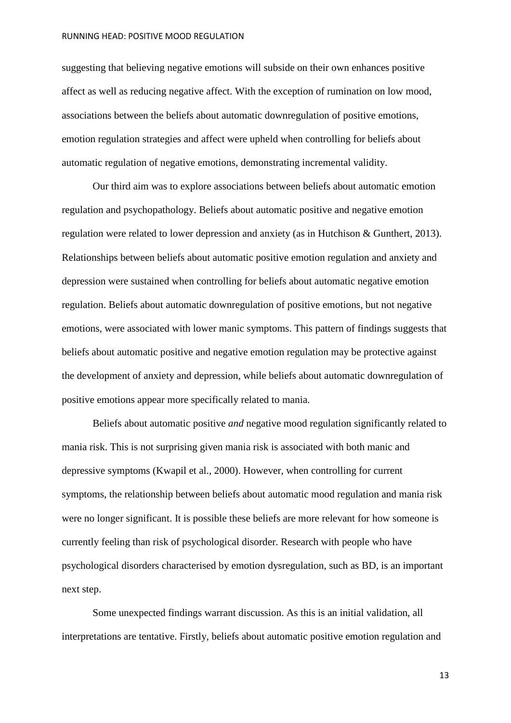#### RUNNING HEAD: POSITIVE MOOD REGULATION

suggesting that believing negative emotions will subside on their own enhances positive affect as well as reducing negative affect. With the exception of rumination on low mood, associations between the beliefs about automatic downregulation of positive emotions, emotion regulation strategies and affect were upheld when controlling for beliefs about automatic regulation of negative emotions, demonstrating incremental validity.

Our third aim was to explore associations between beliefs about automatic emotion regulation and psychopathology. Beliefs about automatic positive and negative emotion regulation were related to lower depression and anxiety (as in Hutchison & Gunthert, 2013). Relationships between beliefs about automatic positive emotion regulation and anxiety and depression were sustained when controlling for beliefs about automatic negative emotion regulation. Beliefs about automatic downregulation of positive emotions, but not negative emotions, were associated with lower manic symptoms. This pattern of findings suggests that beliefs about automatic positive and negative emotion regulation may be protective against the development of anxiety and depression, while beliefs about automatic downregulation of positive emotions appear more specifically related to mania.

Beliefs about automatic positive *and* negative mood regulation significantly related to mania risk. This is not surprising given mania risk is associated with both manic and depressive symptoms (Kwapil et al., 2000). However, when controlling for current symptoms, the relationship between beliefs about automatic mood regulation and mania risk were no longer significant. It is possible these beliefs are more relevant for how someone is currently feeling than risk of psychological disorder. Research with people who have psychological disorders characterised by emotion dysregulation, such as BD, is an important next step.

Some unexpected findings warrant discussion. As this is an initial validation, all interpretations are tentative. Firstly, beliefs about automatic positive emotion regulation and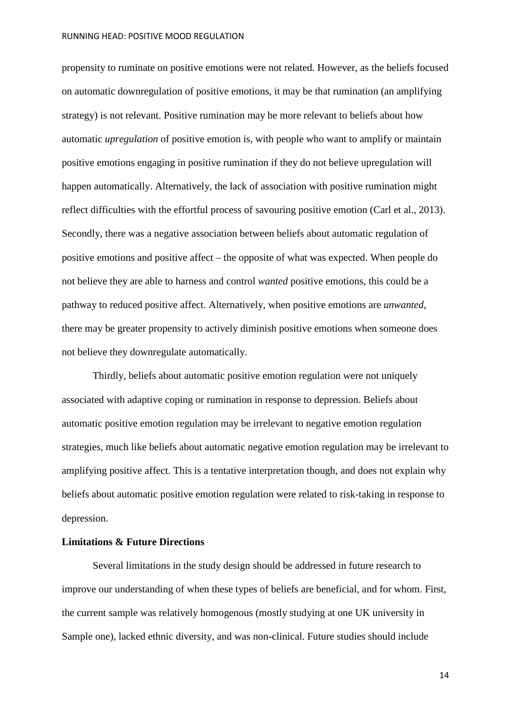#### RUNNING HEAD: POSITIVE MOOD REGULATION

propensity to ruminate on positive emotions were not related. However, as the beliefs focused on automatic downregulation of positive emotions, it may be that rumination (an amplifying strategy) is not relevant. Positive rumination may be more relevant to beliefs about how automatic *upregulation* of positive emotion is, with people who want to amplify or maintain positive emotions engaging in positive rumination if they do not believe upregulation will happen automatically. Alternatively, the lack of association with positive rumination might reflect difficulties with the effortful process of savouring positive emotion (Carl et al., 2013). Secondly, there was a negative association between beliefs about automatic regulation of positive emotions and positive affect – the opposite of what was expected. When people do not believe they are able to harness and control *wanted* positive emotions, this could be a pathway to reduced positive affect. Alternatively, when positive emotions are *unwanted*, there may be greater propensity to actively diminish positive emotions when someone does not believe they downregulate automatically.

Thirdly, beliefs about automatic positive emotion regulation were not uniquely associated with adaptive coping or rumination in response to depression. Beliefs about automatic positive emotion regulation may be irrelevant to negative emotion regulation strategies, much like beliefs about automatic negative emotion regulation may be irrelevant to amplifying positive affect. This is a tentative interpretation though, and does not explain why beliefs about automatic positive emotion regulation were related to risk-taking in response to depression.

# **Limitations & Future Directions**

Several limitations in the study design should be addressed in future research to improve our understanding of when these types of beliefs are beneficial, and for whom. First, the current sample was relatively homogenous (mostly studying at one UK university in Sample one), lacked ethnic diversity, and was non-clinical. Future studies should include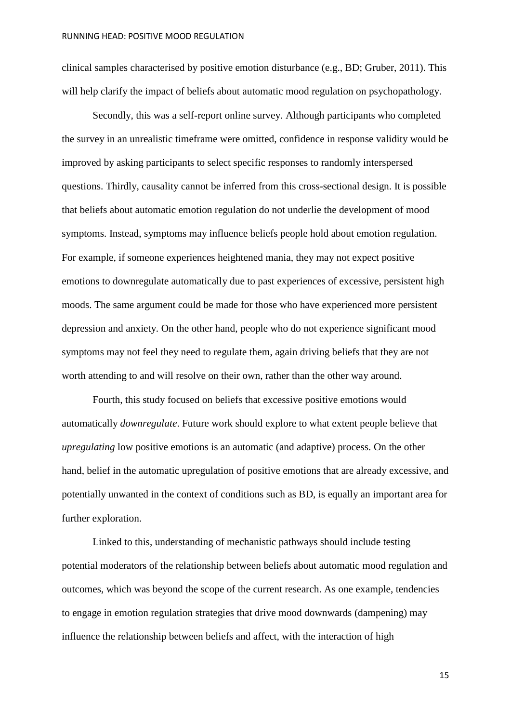clinical samples characterised by positive emotion disturbance (e.g., BD; Gruber, 2011). This will help clarify the impact of beliefs about automatic mood regulation on psychopathology.

Secondly, this was a self-report online survey. Although participants who completed the survey in an unrealistic timeframe were omitted, confidence in response validity would be improved by asking participants to select specific responses to randomly interspersed questions. Thirdly, causality cannot be inferred from this cross-sectional design. It is possible that beliefs about automatic emotion regulation do not underlie the development of mood symptoms. Instead, symptoms may influence beliefs people hold about emotion regulation. For example, if someone experiences heightened mania, they may not expect positive emotions to downregulate automatically due to past experiences of excessive, persistent high moods. The same argument could be made for those who have experienced more persistent depression and anxiety. On the other hand, people who do not experience significant mood symptoms may not feel they need to regulate them, again driving beliefs that they are not worth attending to and will resolve on their own, rather than the other way around.

Fourth, this study focused on beliefs that excessive positive emotions would automatically *downregulate*. Future work should explore to what extent people believe that *upregulating* low positive emotions is an automatic (and adaptive) process. On the other hand, belief in the automatic upregulation of positive emotions that are already excessive, and potentially unwanted in the context of conditions such as BD, is equally an important area for further exploration.

Linked to this, understanding of mechanistic pathways should include testing potential moderators of the relationship between beliefs about automatic mood regulation and outcomes, which was beyond the scope of the current research. As one example, tendencies to engage in emotion regulation strategies that drive mood downwards (dampening) may influence the relationship between beliefs and affect, with the interaction of high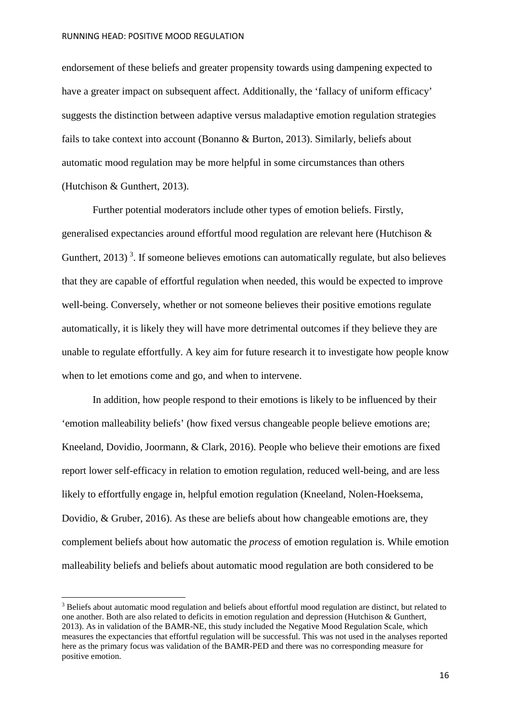endorsement of these beliefs and greater propensity towards using dampening expected to have a greater impact on subsequent affect. Additionally, the 'fallacy of uniform efficacy' suggests the distinction between adaptive versus maladaptive emotion regulation strategies fails to take context into account (Bonanno & Burton, 2013). Similarly, beliefs about automatic mood regulation may be more helpful in some circumstances than others (Hutchison & Gunthert, 2013).

Further potential moderators include other types of emotion beliefs. Firstly, generalised expectancies around effortful mood regulation are relevant here (Hutchison & Gunthert,  $2013$  $2013$ <sup>3</sup>. If someone believes emotions can automatically regulate, but also believes that they are capable of effortful regulation when needed, this would be expected to improve well-being. Conversely, whether or not someone believes their positive emotions regulate automatically, it is likely they will have more detrimental outcomes if they believe they are unable to regulate effortfully. A key aim for future research it to investigate how people know when to let emotions come and go, and when to intervene.

In addition, how people respond to their emotions is likely to be influenced by their 'emotion malleability beliefs' (how fixed versus changeable people believe emotions are; Kneeland, Dovidio, Joormann, & Clark, 2016). People who believe their emotions are fixed report lower self-efficacy in relation to emotion regulation, reduced well-being, and are less likely to effortfully engage in, helpful emotion regulation (Kneeland, Nolen-Hoeksema, Dovidio, & Gruber, 2016). As these are beliefs about how changeable emotions are, they complement beliefs about how automatic the *process* of emotion regulation is. While emotion malleability beliefs and beliefs about automatic mood regulation are both considered to be

**.** 

<span id="page-15-0"></span><sup>&</sup>lt;sup>3</sup> Beliefs about automatic mood regulation and beliefs about effortful mood regulation are distinct, but related to one another. Both are also related to deficits in emotion regulation and depression (Hutchison & Gunthert, 2013). As in validation of the BAMR-NE, this study included the Negative Mood Regulation Scale, which measures the expectancies that effortful regulation will be successful. This was not used in the analyses reported here as the primary focus was validation of the BAMR-PED and there was no corresponding measure for positive emotion.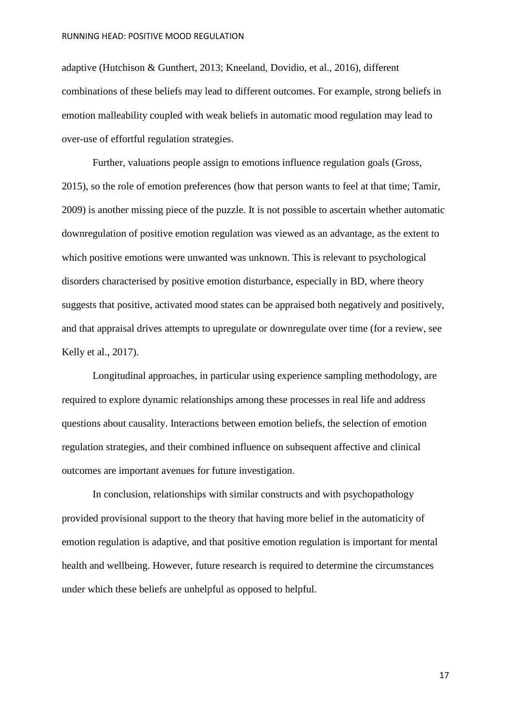adaptive (Hutchison & Gunthert, 2013; Kneeland, Dovidio, et al., 2016), different combinations of these beliefs may lead to different outcomes. For example, strong beliefs in emotion malleability coupled with weak beliefs in automatic mood regulation may lead to over-use of effortful regulation strategies.

Further, valuations people assign to emotions influence regulation goals (Gross, 2015), so the role of emotion preferences (how that person wants to feel at that time; Tamir, 2009) is another missing piece of the puzzle. It is not possible to ascertain whether automatic downregulation of positive emotion regulation was viewed as an advantage, as the extent to which positive emotions were unwanted was unknown. This is relevant to psychological disorders characterised by positive emotion disturbance, especially in BD, where theory suggests that positive, activated mood states can be appraised both negatively and positively, and that appraisal drives attempts to upregulate or downregulate over time (for a review, see Kelly et al., 2017).

Longitudinal approaches, in particular using experience sampling methodology, are required to explore dynamic relationships among these processes in real life and address questions about causality. Interactions between emotion beliefs, the selection of emotion regulation strategies, and their combined influence on subsequent affective and clinical outcomes are important avenues for future investigation.

In conclusion, relationships with similar constructs and with psychopathology provided provisional support to the theory that having more belief in the automaticity of emotion regulation is adaptive, and that positive emotion regulation is important for mental health and wellbeing. However, future research is required to determine the circumstances under which these beliefs are unhelpful as opposed to helpful.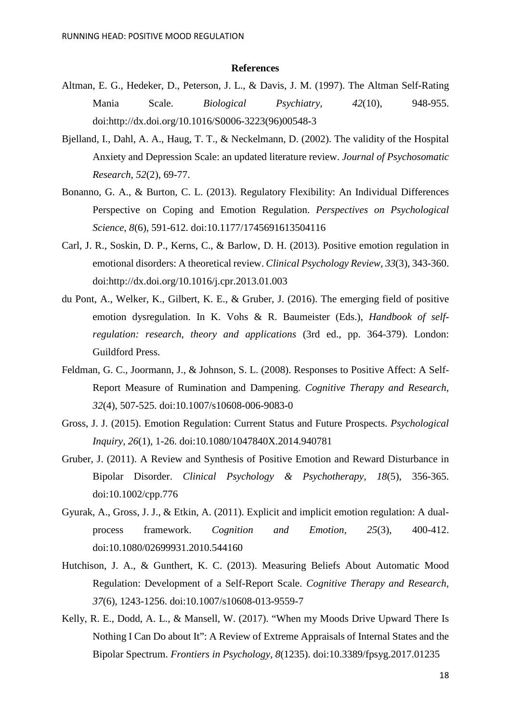#### **References**

- Altman, E. G., Hedeker, D., Peterson, J. L., & Davis, J. M. (1997). The Altman Self-Rating Mania Scale. *Biological Psychiatry, 42*(10), 948-955. doi:http://dx.doi.org/10.1016/S0006-3223(96)00548-3
- Bjelland, I., Dahl, A. A., Haug, T. T., & Neckelmann, D. (2002). The validity of the Hospital Anxiety and Depression Scale: an updated literature review. *Journal of Psychosomatic Research, 52*(2), 69-77.
- Bonanno, G. A., & Burton, C. L. (2013). Regulatory Flexibility: An Individual Differences Perspective on Coping and Emotion Regulation. *Perspectives on Psychological Science, 8*(6), 591-612. doi:10.1177/1745691613504116
- Carl, J. R., Soskin, D. P., Kerns, C., & Barlow, D. H. (2013). Positive emotion regulation in emotional disorders: A theoretical review. *Clinical Psychology Review, 33*(3), 343-360. doi:http://dx.doi.org/10.1016/j.cpr.2013.01.003
- du Pont, A., Welker, K., Gilbert, K. E., & Gruber, J. (2016). The emerging field of positive emotion dysregulation. In K. Vohs & R. Baumeister (Eds.), *Handbook of selfregulation: research, theory and applications* (3rd ed., pp. 364-379). London: Guildford Press.
- Feldman, G. C., Joormann, J., & Johnson, S. L. (2008). Responses to Positive Affect: A Self-Report Measure of Rumination and Dampening. *Cognitive Therapy and Research, 32*(4), 507-525. doi:10.1007/s10608-006-9083-0
- Gross, J. J. (2015). Emotion Regulation: Current Status and Future Prospects. *Psychological Inquiry, 26*(1), 1-26. doi:10.1080/1047840X.2014.940781
- Gruber, J. (2011). A Review and Synthesis of Positive Emotion and Reward Disturbance in Bipolar Disorder. *Clinical Psychology & Psychotherapy, 18*(5), 356-365. doi:10.1002/cpp.776
- Gyurak, A., Gross, J. J., & Etkin, A. (2011). Explicit and implicit emotion regulation: A dualprocess framework. *Cognition and Emotion, 25*(3), 400-412. doi:10.1080/02699931.2010.544160
- Hutchison, J. A., & Gunthert, K. C. (2013). Measuring Beliefs About Automatic Mood Regulation: Development of a Self-Report Scale. *Cognitive Therapy and Research, 37*(6), 1243-1256. doi:10.1007/s10608-013-9559-7
- Kelly, R. E., Dodd, A. L., & Mansell, W. (2017). "When my Moods Drive Upward There Is Nothing I Can Do about It": A Review of Extreme Appraisals of Internal States and the Bipolar Spectrum. *Frontiers in Psychology, 8*(1235). doi:10.3389/fpsyg.2017.01235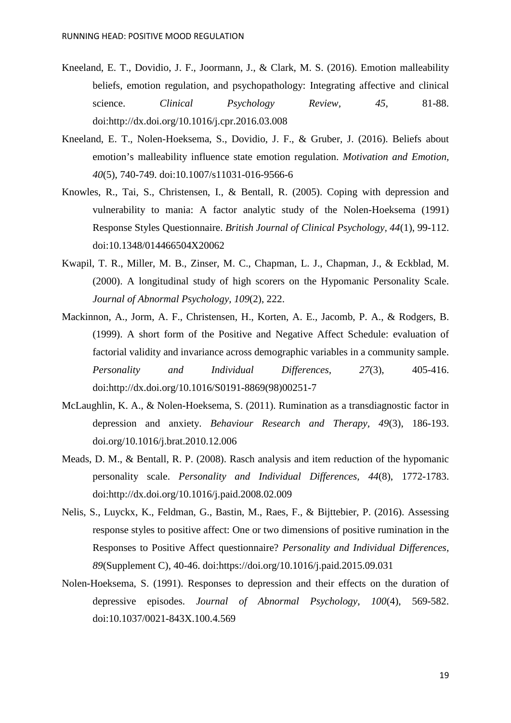- Kneeland, E. T., Dovidio, J. F., Joormann, J., & Clark, M. S. (2016). Emotion malleability beliefs, emotion regulation, and psychopathology: Integrating affective and clinical science. *Clinical Psychology Review*, 45, 81-88. doi:http://dx.doi.org/10.1016/j.cpr.2016.03.008
- Kneeland, E. T., Nolen-Hoeksema, S., Dovidio, J. F., & Gruber, J. (2016). Beliefs about emotion's malleability influence state emotion regulation. *Motivation and Emotion, 40*(5), 740-749. doi:10.1007/s11031-016-9566-6
- Knowles, R., Tai, S., Christensen, I., & Bentall, R. (2005). Coping with depression and vulnerability to mania: A factor analytic study of the Nolen-Hoeksema (1991) Response Styles Questionnaire. *British Journal of Clinical Psychology, 44*(1), 99-112. doi:10.1348/014466504X20062
- Kwapil, T. R., Miller, M. B., Zinser, M. C., Chapman, L. J., Chapman, J., & Eckblad, M. (2000). A longitudinal study of high scorers on the Hypomanic Personality Scale. *Journal of Abnormal Psychology, 109*(2), 222.
- Mackinnon, A., Jorm, A. F., Christensen, H., Korten, A. E., Jacomb, P. A., & Rodgers, B. (1999). A short form of the Positive and Negative Affect Schedule: evaluation of factorial validity and invariance across demographic variables in a community sample. *Personality and Individual Differences, 27*(3), 405-416. doi:http://dx.doi.org/10.1016/S0191-8869(98)00251-7
- McLaughlin, K. A., & Nolen-Hoeksema, S. (2011). Rumination as a transdiagnostic factor in depression and anxiety. *Behaviour Research and Therapy, 49*(3), 186-193. doi.org/10.1016/j.brat.2010.12.006
- Meads, D. M., & Bentall, R. P. (2008). Rasch analysis and item reduction of the hypomanic personality scale. *Personality and Individual Differences, 44*(8), 1772-1783. doi:http://dx.doi.org/10.1016/j.paid.2008.02.009
- Nelis, S., Luyckx, K., Feldman, G., Bastin, M., Raes, F., & Bijttebier, P. (2016). Assessing response styles to positive affect: One or two dimensions of positive rumination in the Responses to Positive Affect questionnaire? *Personality and Individual Differences, 89*(Supplement C), 40-46. doi:https://doi.org/10.1016/j.paid.2015.09.031
- Nolen-Hoeksema, S. (1991). Responses to depression and their effects on the duration of depressive episodes. *Journal of Abnormal Psychology, 100*(4), 569-582. doi:10.1037/0021-843X.100.4.569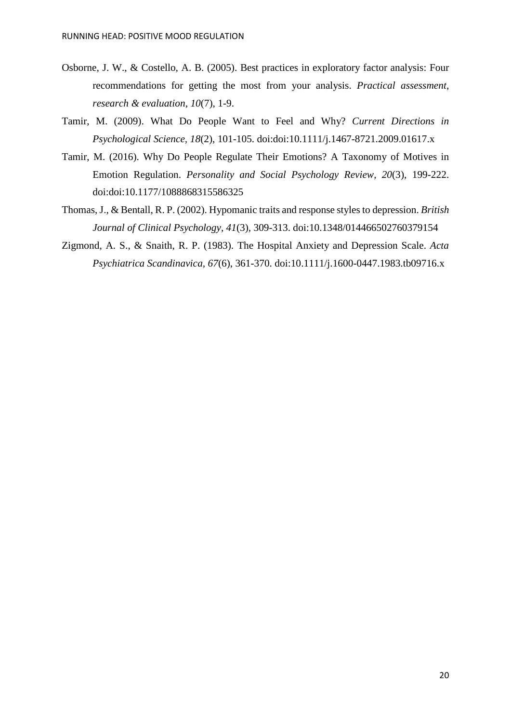- Osborne, J. W., & Costello, A. B. (2005). Best practices in exploratory factor analysis: Four recommendations for getting the most from your analysis. *Practical assessment, research & evaluation, 10*(7), 1-9.
- Tamir, M. (2009). What Do People Want to Feel and Why? *Current Directions in Psychological Science, 18*(2), 101-105. doi:doi:10.1111/j.1467-8721.2009.01617.x
- Tamir, M. (2016). Why Do People Regulate Their Emotions? A Taxonomy of Motives in Emotion Regulation. *Personality and Social Psychology Review, 20*(3), 199-222. doi:doi:10.1177/1088868315586325
- Thomas, J., & Bentall, R. P. (2002). Hypomanic traits and response styles to depression. *British Journal of Clinical Psychology, 41*(3), 309-313. doi:10.1348/014466502760379154
- Zigmond, A. S., & Snaith, R. P. (1983). The Hospital Anxiety and Depression Scale. *Acta Psychiatrica Scandinavica, 67*(6), 361-370. doi:10.1111/j.1600-0447.1983.tb09716.x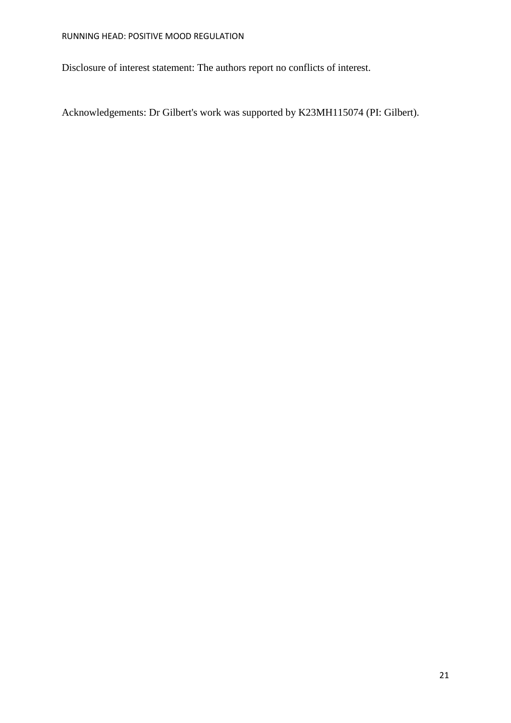Disclosure of interest statement: The authors report no conflicts of interest.

Acknowledgements: Dr Gilbert's work was supported by K23MH115074 (PI: Gilbert).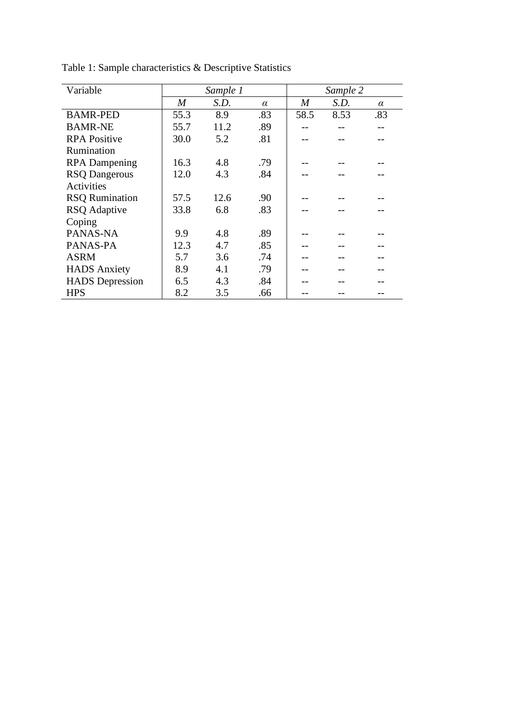| Variable               | Sample 1 |      |          | Sample 2 |      |          |
|------------------------|----------|------|----------|----------|------|----------|
|                        | M        | S.D. | $\alpha$ | M        | S.D. | $\alpha$ |
| <b>BAMR-PED</b>        | 55.3     | 8.9  | .83      | 58.5     | 8.53 | .83      |
| <b>BAMR-NE</b>         | 55.7     | 11.2 | .89      |          |      |          |
| <b>RPA Positive</b>    | 30.0     | 5.2  | .81      |          |      |          |
| Rumination             |          |      |          |          |      |          |
| <b>RPA</b> Dampening   | 16.3     | 4.8  | .79      |          |      |          |
| <b>RSQ Dangerous</b>   | 12.0     | 4.3  | .84      |          |      |          |
| Activities             |          |      |          |          |      |          |
| <b>RSQ Rumination</b>  | 57.5     | 12.6 | .90      |          |      |          |
| <b>RSQ</b> Adaptive    | 33.8     | 6.8  | .83      |          |      |          |
| Coping                 |          |      |          |          |      |          |
| PANAS-NA               | 9.9      | 4.8  | .89      |          |      |          |
| PANAS-PA               | 12.3     | 4.7  | .85      |          |      |          |
| <b>ASRM</b>            | 5.7      | 3.6  | .74      |          |      |          |
| <b>HADS</b> Anxiety    | 8.9      | 4.1  | .79      |          |      |          |
| <b>HADS</b> Depression | 6.5      | 4.3  | .84      |          |      |          |
| <b>HPS</b>             | 8.2      | 3.5  | .66      |          |      |          |

Table 1: Sample characteristics & Descriptive Statistics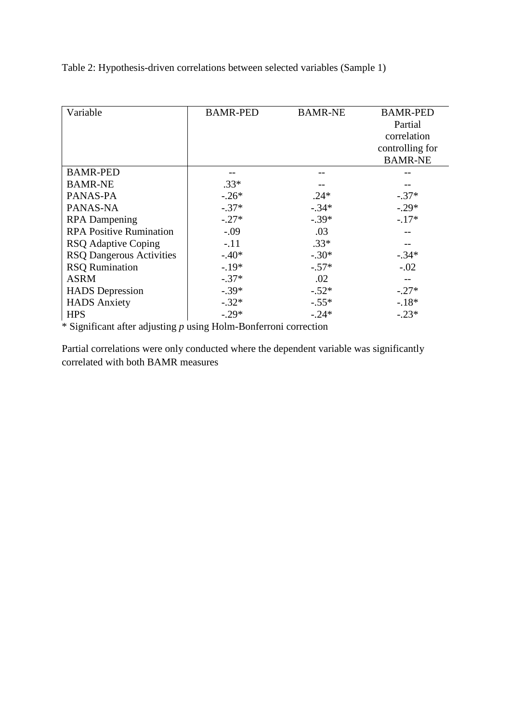Table 2: Hypothesis-driven correlations between selected variables (Sample 1)

| Variable                        | <b>BAMR-PED</b><br><b>BAMR-NE</b> |         | <b>BAMR-PED</b> |  |
|---------------------------------|-----------------------------------|---------|-----------------|--|
|                                 |                                   |         | Partial         |  |
|                                 |                                   |         | correlation     |  |
|                                 |                                   |         | controlling for |  |
|                                 |                                   |         | <b>BAMR-NE</b>  |  |
| <b>BAMR-PED</b>                 |                                   |         |                 |  |
| <b>BAMR-NE</b>                  | $.33*$                            |         |                 |  |
| PANAS-PA                        | $-.26*$                           | $.24*$  | $-.37*$         |  |
| PANAS-NA                        | $-.37*$                           | $-.34*$ | $-.29*$         |  |
| <b>RPA</b> Dampening            | $-.27*$                           | $-.39*$ | $-.17*$         |  |
| <b>RPA Positive Rumination</b>  | $-.09$                            | .03     |                 |  |
| <b>RSQ</b> Adaptive Coping      | $-.11$                            | $.33*$  |                 |  |
| <b>RSQ Dangerous Activities</b> | $-.40*$                           | $-.30*$ | $-.34*$         |  |
| <b>RSQ Rumination</b>           | $-.19*$                           | $-.57*$ | $-.02$          |  |
| <b>ASRM</b>                     | $-.37*$                           | .02     |                 |  |
| <b>HADS</b> Depression          | $-.39*$                           | $-.52*$ | $-.27*$         |  |
| <b>HADS</b> Anxiety             | $-.32*$                           | $-.55*$ | $-.18*$         |  |
| <b>HPS</b>                      | $-.29*$                           | $-.24*$ | $-.23*$         |  |

\* Significant after adjusting *p* using Holm-Bonferroni correction

Partial correlations were only conducted where the dependent variable was significantly correlated with both BAMR measures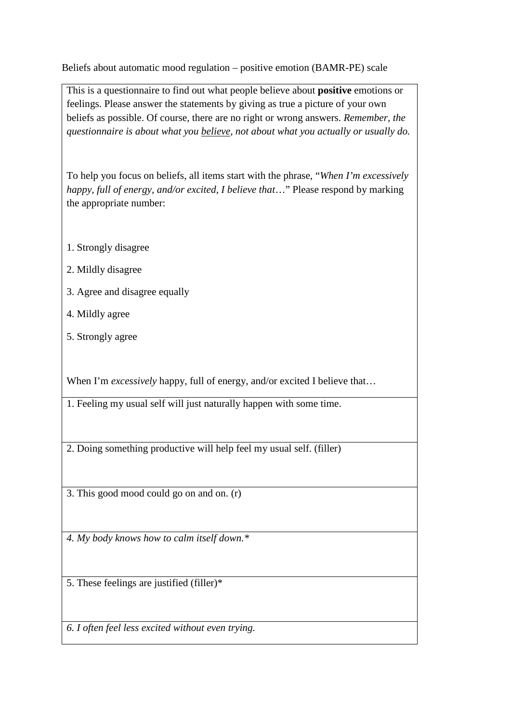Beliefs about automatic mood regulation – positive emotion (BAMR-PE) scale

This is a questionnaire to find out what people believe about **positive** emotions or feelings. Please answer the statements by giving as true a picture of your own beliefs as possible. Of course, there are no right or wrong answers. *Remember, the questionnaire is about what you believe, not about what you actually or usually do.* 

To help you focus on beliefs, all items start with the phrase, "*When I'm excessively happy, full of energy, and/or excited, I believe that...*" Please respond by marking the appropriate number:

- 1. Strongly disagree
- 2. Mildly disagree
- 3. Agree and disagree equally
- 4. Mildly agree
- 5. Strongly agree

When I'm *excessively* happy, full of energy, and/or excited I believe that...

1. Feeling my usual self will just naturally happen with some time.

2. Doing something productive will help feel my usual self. (filler)

3. This good mood could go on and on. (r)

*4. My body knows how to calm itself down.\** 

5. These feelings are justified (filler)\*

*6. I often feel less excited without even trying.*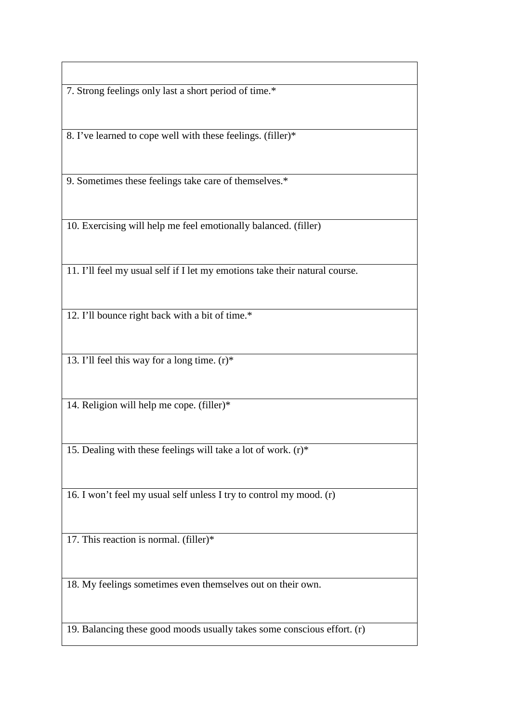7. Strong feelings only last a short period of time.\*

8. I've learned to cope well with these feelings. (filler)\*

9. Sometimes these feelings take care of themselves.\*

10. Exercising will help me feel emotionally balanced. (filler)

11. I'll feel my usual self if I let my emotions take their natural course.

12. I'll bounce right back with a bit of time.\*

13. I'll feel this way for a long time. (r)\*

14. Religion will help me cope. (filler)\*

15. Dealing with these feelings will take a lot of work.  $(r)^*$ 

16. I won't feel my usual self unless I try to control my mood. (r)

17. This reaction is normal. (filler)\*

18. My feelings sometimes even themselves out on their own.

19. Balancing these good moods usually takes some conscious effort. (r)